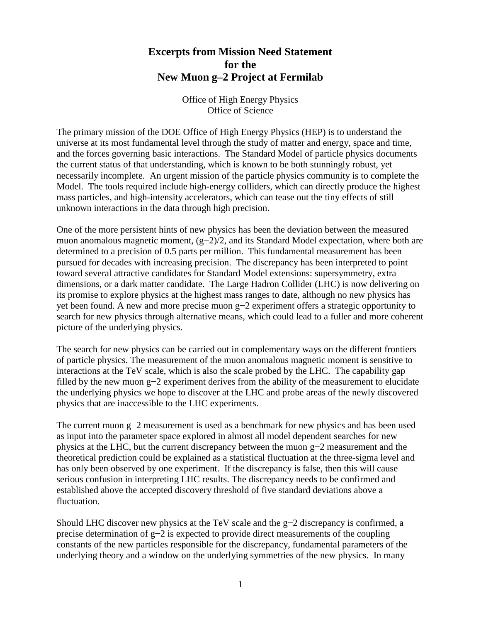## **Excerpts from Mission Need Statement for the New Muon g–2 Project at Fermilab**

Office of High Energy Physics Office of Science

The primary mission of the DOE Office of High Energy Physics (HEP) is to understand the universe at its most fundamental level through the study of matter and energy, space and time, and the forces governing basic interactions. The Standard Model of particle physics documents the current status of that understanding, which is known to be both stunningly robust, yet necessarily incomplete. An urgent mission of the particle physics community is to complete the Model. The tools required include high-energy colliders, which can directly produce the highest mass particles, and high-intensity accelerators, which can tease out the tiny effects of still unknown interactions in the data through high precision.

One of the more persistent hints of new physics has been the deviation between the measured muon anomalous magnetic moment, (g−2)/2, and its Standard Model expectation, where both are determined to a precision of 0.5 parts per million. This fundamental measurement has been pursued for decades with increasing precision. The discrepancy has been interpreted to point toward several attractive candidates for Standard Model extensions: supersymmetry, extra dimensions, or a dark matter candidate. The Large Hadron Collider (LHC) is now delivering on its promise to explore physics at the highest mass ranges to date, although no new physics has yet been found. A new and more precise muon g−2 experiment offers a strategic opportunity to search for new physics through alternative means, which could lead to a fuller and more coherent picture of the underlying physics.

The search for new physics can be carried out in complementary ways on the different frontiers of particle physics. The measurement of the muon anomalous magnetic moment is sensitive to interactions at the TeV scale, which is also the scale probed by the LHC. The capability gap filled by the new muon g−2 experiment derives from the ability of the measurement to elucidate the underlying physics we hope to discover at the LHC and probe areas of the newly discovered physics that are inaccessible to the LHC experiments.

The current muon g−2 measurement is used as a benchmark for new physics and has been used as input into the parameter space explored in almost all model dependent searches for new physics at the LHC, but the current discrepancy between the muon g−2 measurement and the theoretical prediction could be explained as a statistical fluctuation at the three-sigma level and has only been observed by one experiment. If the discrepancy is false, then this will cause serious confusion in interpreting LHC results. The discrepancy needs to be confirmed and established above the accepted discovery threshold of five standard deviations above a fluctuation.

Should LHC discover new physics at the TeV scale and the g−2 discrepancy is confirmed, a precise determination of g−2 is expected to provide direct measurements of the coupling constants of the new particles responsible for the discrepancy, fundamental parameters of the underlying theory and a window on the underlying symmetries of the new physics. In many